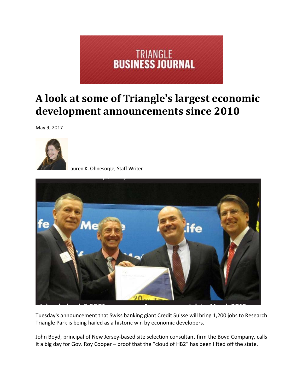

## **A look at some of Triangle's largest economic development announcements since 2010**

May 9, 2017



Lauren K. Ohnesorge, Staff Writer



Tuesday's announcement that Swiss banking giant Credit Suisse will bring 1,200 jobs to Research Triangle Park is being hailed as a historic win by economic developers.

John Boyd, principal of New Jersey‐based site selection consultant firm the Boyd Company, calls it a big day for Gov. Roy Cooper – proof that the "cloud of HB2" has been lifted off the state.